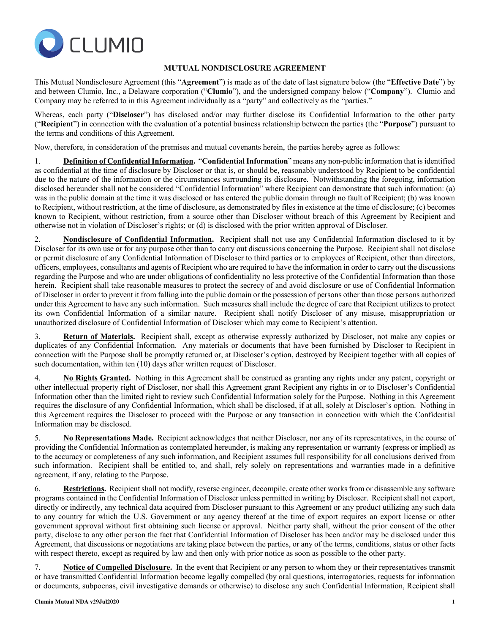

## **MUTUAL NONDISCLOSURE AGREEMENT**

This Mutual Nondisclosure Agreement (this "**Agreement**") is made as of the date of last signature below (the "**Effective Date**") by and between Clumio, Inc., a Delaware corporation ("**Clumio**"), and the undersigned company below ("**Company**"). Clumio and Company may be referred to in this Agreement individually as a "party" and collectively as the "parties."

Whereas, each party ("**Discloser**") has disclosed and/or may further disclose its Confidential Information to the other party ("**Recipient**") in connection with the evaluation of a potential business relationship between the parties (the "**Purpose**") pursuant to the terms and conditions of this Agreement.

Now, therefore, in consideration of the premises and mutual covenants herein, the parties hereby agree as follows:

1. **Definition of Confidential Information.** "**Confidential Information**" means any non-public information that is identified as confidential at the time of disclosure by Discloser or that is, or should be, reasonably understood by Recipient to be confidential due to the nature of the information or the circumstances surrounding its disclosure. Notwithstanding the foregoing, information disclosed hereunder shall not be considered "Confidential Information" where Recipient can demonstrate that such information: (a) was in the public domain at the time it was disclosed or has entered the public domain through no fault of Recipient; (b) was known to Recipient, without restriction, at the time of disclosure, as demonstrated by files in existence at the time of disclosure; (c) becomes known to Recipient, without restriction, from a source other than Discloser without breach of this Agreement by Recipient and otherwise not in violation of Discloser's rights; or (d) is disclosed with the prior written approval of Discloser.

2. **Nondisclosure of Confidential Information.** Recipient shall not use any Confidential Information disclosed to it by Discloser for its own use or for any purpose other than to carry out discussions concerning the Purpose. Recipient shall not disclose or permit disclosure of any Confidential Information of Discloser to third parties or to employees of Recipient, other than directors, officers, employees, consultants and agents of Recipient who are required to have the information in order to carry out the discussions regarding the Purpose and who are under obligations of confidentiality no less protective of the Confidential Information than those herein. Recipient shall take reasonable measures to protect the secrecy of and avoid disclosure or use of Confidential Information of Discloser in order to prevent it from falling into the public domain or the possession of persons other than those persons authorized under this Agreement to have any such information. Such measures shall include the degree of care that Recipient utilizes to protect its own Confidential Information of a similar nature. Recipient shall notify Discloser of any misuse, misappropriation or unauthorized disclosure of Confidential Information of Discloser which may come to Recipient's attention.

3. **Return of Materials.** Recipient shall, except as otherwise expressly authorized by Discloser, not make any copies or duplicates of any Confidential Information. Any materials or documents that have been furnished by Discloser to Recipient in connection with the Purpose shall be promptly returned or, at Discloser's option, destroyed by Recipient together with all copies of such documentation, within ten (10) days after written request of Discloser.

4. **No Rights Granted.** Nothing in this Agreement shall be construed as granting any rights under any patent, copyright or other intellectual property right of Discloser, nor shall this Agreement grant Recipient any rights in or to Discloser's Confidential Information other than the limited right to review such Confidential Information solely for the Purpose. Nothing in this Agreement requires the disclosure of any Confidential Information, which shall be disclosed, if at all, solely at Discloser's option. Nothing in this Agreement requires the Discloser to proceed with the Purpose or any transaction in connection with which the Confidential Information may be disclosed.

5. **No Representations Made.** Recipient acknowledges that neither Discloser, nor any of its representatives, in the course of providing the Confidential Information as contemplated hereunder, is making any representation or warranty (express or implied) as to the accuracy or completeness of any such information, and Recipient assumes full responsibility for all conclusions derived from such information. Recipient shall be entitled to, and shall, rely solely on representations and warranties made in a definitive agreement, if any, relating to the Purpose.

6. **Restrictions.** Recipient shall not modify, reverse engineer, decompile, create other works from or disassemble any software programs contained in the Confidential Information of Discloser unless permitted in writing by Discloser. Recipient shall not export, directly or indirectly, any technical data acquired from Discloser pursuant to this Agreement or any product utilizing any such data to any country for which the U.S. Government or any agency thereof at the time of export requires an export license or other government approval without first obtaining such license or approval.Neither party shall, without the prior consent of the other party, disclose to any other person the fact that Confidential Information of Discloser has been and/or may be disclosed under this Agreement, that discussions or negotiations are taking place between the parties, or any of the terms, conditions, status or other facts with respect thereto, except as required by law and then only with prior notice as soon as possible to the other party.

7. **Notice of Compelled Disclosure.** In the event that Recipient or any person to whom they or their representatives transmit or have transmitted Confidential Information become legally compelled (by oral questions, interrogatories, requests for information or documents, subpoenas, civil investigative demands or otherwise) to disclose any such Confidential Information, Recipient shall